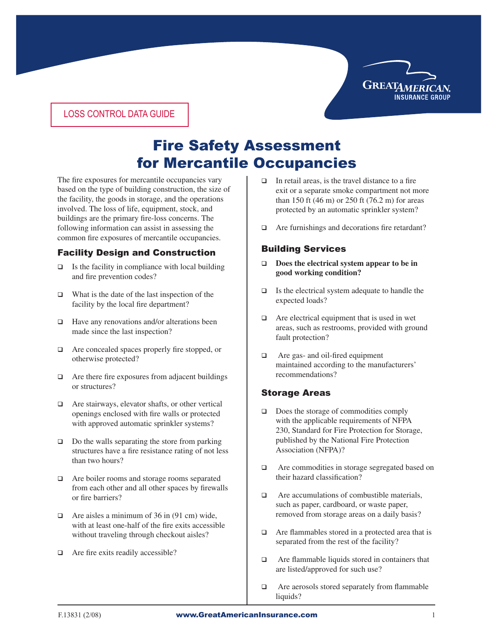

### LOSS CONTROL DATA GUIDE

# Fire Safety Assessment for Mercantile Occupancies

The fire exposures for mercantile occupancies vary based on the type of building construction, the size of the facility, the goods in storage, and the operations involved. The loss of life, equipment, stock, and buildings are the primary fire-loss concerns. The following information can assist in assessing the common fire exposures of mercantile occupancies.

## Facility Design and Construction

- $\Box$  Is the facility in compliance with local building and fire prevention codes?
- $\Box$  What is the date of the last inspection of the facility by the local fire department?
- $\Box$  Have any renovations and/or alterations been made since the last inspection?
- $\Box$  Are concealed spaces properly fire stopped, or otherwise protected?
- $\Box$  Are there fire exposures from adjacent buildings or structures?
- $\Box$  Are stairways, elevator shafts, or other vertical openings enclosed with fire walls or protected with approved automatic sprinkler systems?
- $\Box$  Do the walls separating the store from parking structures have a fire resistance rating of not less than two hours?
- $\Box$  Are boiler rooms and storage rooms separated from each other and all other spaces by firewalls or fire barriers?
- $\Box$  Are aisles a minimum of 36 in (91 cm) wide, with at least one-half of the fire exits accessible without traveling through checkout aisles?
- $\Box$  Are fire exits readily accessible?
- $\Box$  In retail areas, is the travel distance to a fire exit or a separate smoke compartment not more than 150 ft (46 m) or 250 ft (76.2 m) for areas protected by an automatic sprinkler system?
- $\Box$  Are furnishings and decorations fire retardant?

## Building Services

- □ Does the electrical system appear to be in **good working condition?**
- $\Box$  Is the electrical system adequate to handle the expected loads?
- $\Box$  Are electrical equipment that is used in wet areas, such as restrooms, provided with ground fault protection?
- $\Box$  Are gas- and oil-fired equipment maintained according to the manufacturers' recommendations?

## Storage Areas

- $\Box$  Does the storage of commodities comply with the applicable requirements of NFPA 230, Standard for Fire Protection for Storage, published by the National Fire Protection Association (NFPA)?
- $\Box$  Are commodities in storage segregated based on their hazard classification?
- $\Box$  Are accumulations of combustible materials, such as paper, cardboard, or waste paper, removed from storage areas on a daily basis?
- $\Box$  Are flammables stored in a protected area that is separated from the rest of the facility?
- $\Box$  Are flammable liquids stored in containers that are listed/approved for such use?
- $\Box$  Are aerosols stored separately from flammable liquids?